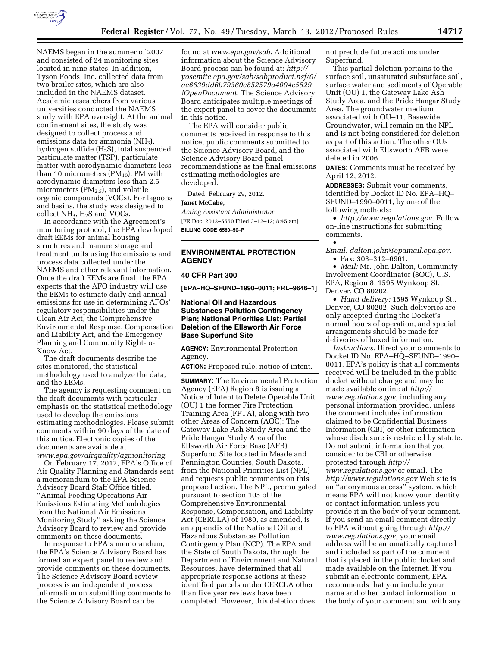

NAEMS began in the summer of 2007 and consisted of 24 monitoring sites located in nine states. In addition, Tyson Foods, Inc. collected data from two broiler sites, which are also included in the NAEMS dataset. Academic researchers from various universities conducted the NAEMS study with EPA oversight. At the animal confinement sites, the study was designed to collect process and emissions data for ammonia  $(NH_3)$ , hydrogen sulfide (H2S), total suspended particulate matter (TSP), particulate matter with aerodynamic diameters less than 10 micrometers  $(PM_{10})$ , PM with aerodynamic diameters less than 2.5 micrometers  $(PM_{2.5})$ , and volatile organic compounds (VOCs). For lagoons and basins, the study was designed to collect NH3, H2S and VOCs.

In accordance with the Agreement's monitoring protocol, the EPA developed draft EEMs for animal housing structures and manure storage and treatment units using the emissions and process data collected under the NAEMS and other relevant information. Once the draft EEMs are final, the EPA expects that the AFO industry will use the EEMs to estimate daily and annual emissions for use in determining AFOs' regulatory responsibilities under the Clean Air Act, the Comprehensive Environmental Response, Compensation and Liability Act, and the Emergency Planning and Community Right-to-Know Act.

The draft documents describe the sites monitored, the statistical methodology used to analyze the data, and the EEMs.

The agency is requesting comment on the draft documents with particular emphasis on the statistical methodology used to develop the emissions estimating methodologies. Please submit comments within 90 days of the date of this notice. Electronic copies of the documents are available at *[www.epa.gov/airquality/agmonitoring](http://www.epa.gov/airquality/agmonitoring)*.

On February 17, 2012, EPA's Office of Air Quality Planning and Standards sent a memorandum to the EPA Science Advisory Board Staff Office titled, ''Animal Feeding Operations Air Emissions Estimating Methodologies from the National Air Emissions Monitoring Study'' asking the Science Advisory Board to review and provide comments on these documents.

In response to EPA's memorandum, the EPA's Science Advisory Board has formed an expert panel to review and provide comments on these documents. The Science Advisory Board review process is an independent process. Information on submitting comments to the Science Advisory Board can be

found at *[www.epa.gov/sab](http://www.epa.gov/sab)*. Additional information about the Science Advisory Board process can be found at: *http:// [yosemite.epa.gov/sab/sabproduct.nsf/0/](http://yosemite.epa.gov/sab/sabproduct.nfs/0/ae6639dd6b79360e852579a4004e5529!OpenDocument)  ae6639dd6b79360e852579a4004e5529 !OpenDocument.* The Science Advisory Board anticipates multiple meetings of the expert panel to cover the documents in this notice.

The EPA will consider public comments received in response to this notice, public comments submitted to the Science Advisory Board, and the Science Advisory Board panel recommendations as the final emissions estimating methodologies are developed.

Dated: February 29, 2012.

#### **Janet McCabe,**

*Acting Assistant Administrator.*  [FR Doc. 2012–5550 Filed 3–12–12; 8:45 am] **BILLING CODE 6560–50–P** 

# **ENVIRONMENTAL PROTECTION AGENCY**

#### **40 CFR Part 300**

**[EPA–HQ–SFUND–1990–0011; FRL–9646–1]** 

## **National Oil and Hazardous Substances Pollution Contingency Plan; National Priorities List: Partial Deletion of the Ellsworth Air Force Base Superfund Site**

**AGENCY:** Environmental Protection Agency.

**ACTION:** Proposed rule; notice of intent.

**SUMMARY:** The Environmental Protection Agency (EPA) Region 8 is issuing a Notice of Intent to Delete Operable Unit (OU) 1 the former Fire Protection Training Area (FPTA), along with two other Areas of Concern (AOC): The Gateway Lake Ash Study Area and the Pride Hangar Study Area of the Ellsworth Air Force Base (AFB) Superfund Site located in Meade and Pennington Counties, South Dakota, from the National Priorities List (NPL) and requests public comments on this proposed action. The NPL, promulgated pursuant to section 105 of the Comprehensive Environmental Response, Compensation, and Liability Act (CERCLA) of 1980, as amended, is an appendix of the National Oil and Hazardous Substances Pollution Contingency Plan (NCP). The EPA and the State of South Dakota, through the Department of Environment and Natural Resources, have determined that all appropriate response actions at these identified parcels under CERCLA other than five year reviews have been completed. However, this deletion does

not preclude future actions under Superfund.

This partial deletion pertains to the surface soil, unsaturated subsurface soil, surface water and sediments of Operable Unit (OU) 1, the Gateway Lake Ash Study Area, and the Pride Hangar Study Area. The groundwater medium associated with OU–11, Basewide Groundwater, will remain on the NPL and is not being considered for deletion as part of this action. The other OUs associated with Ellsworth AFB were deleted in 2006.

**DATES:** Comments must be received by April 12, 2012.

**ADDRESSES:** Submit your comments, identified by Docket ID No. EPA–HQ– SFUND–1990–0011, by one of the following methods:

• *<http://www.regulations.gov.>*Follow on-line instructions for submitting comments.

• *Email: [dalton.john@epamail.epa.gov.](mailto:dalton.john@epamail.epa.gov)*  • Fax: 303–312–6961.

• *Mail:* Mr. John Dalton, Community Involvement Coordinator (8OC), U.S. EPA, Region 8, 1595 Wynkoop St., Denver, CO 80202.

• *Hand delivery:* 1595 Wynkoop St., Denver, CO 80202. Such deliveries are only accepted during the Docket's normal hours of operation, and special arrangements should be made for deliveries of boxed information.

*Instructions:* Direct your comments to Docket ID No. EPA–HQ–SFUND–1990– 0011. EPA's policy is that all comments received will be included in the public docket without change and may be made available online at *[http://](http://www.regulations.gov)  [www.regulations.gov,](http://www.regulations.gov)* including any personal information provided, unless the comment includes information claimed to be Confidential Business Information (CBI) or other information whose disclosure is restricted by statute. Do not submit information that you consider to be CBI or otherwise protected through *[http://](http://www.regulations.gov)  [www.regulations.gov](http://www.regulations.gov)* or email. The *<http://www.regulations.gov>* Web site is an ''anonymous access'' system, which means EPA will not know your identity or contact information unless you provide it in the body of your comment. If you send an email comment directly to EPA without going through *[http://](http://www.regulations.gov) [www.regulations.gov,](http://www.regulations.gov)* your email address will be automatically captured and included as part of the comment that is placed in the public docket and made available on the Internet. If you submit an electronic comment, EPA recommends that you include your name and other contact information in the body of your comment and with any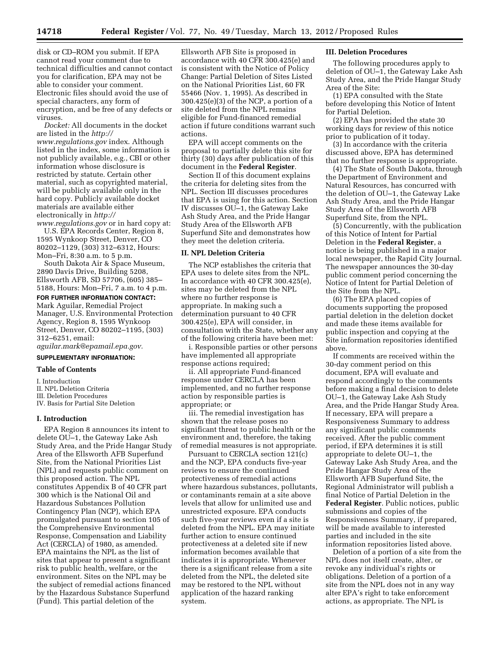disk or CD–ROM you submit. If EPA cannot read your comment due to technical difficulties and cannot contact you for clarification, EPA may not be able to consider your comment. Electronic files should avoid the use of special characters, any form of encryption, and be free of any defects or viruses.

*Docket:* All documents in the docket are listed in the *[http://](http://www.regulations.gov) [www.regulations.gov](http://www.regulations.gov)* index. Although listed in the index, some information is not publicly available, e.g., CBI or other information whose disclosure is restricted by statute. Certain other material, such as copyrighted material, will be publicly available only in the hard copy. Publicly available docket materials are available either electronically in *[http://](http://www.regulations.gov)* 

*[www.regulations.gov](http://www.regulations.gov)* or in hard copy at: U.S. EPA Records Center, Region 8, 1595 Wynkoop Street, Denver, CO 80202–1129, (303) 312–6312, Hours: Mon–Fri, 8:30 a.m. to 5 p.m.

South Dakota Air & Space Museum, 2890 Davis Drive, Building 5208, Ellsworth AFB, SD 57706, (605) 385– 5188, Hours: Mon–Fri, 7 a.m. to 4 p.m.

## **FOR FURTHER INFORMATION CONTACT:**

Mark Aguilar, Remedial Project Manager, U.S. Environmental Protection Agency, Region 8, 1595 Wynkoop Street, Denver, CO 80202–1195, (303) 312–6251, email:

*[aguilar.mark@epamail.epa.gov.](mailto:aguilar.mark@epamail.epa.gov)* 

# **SUPPLEMENTARY INFORMATION:**

## **Table of Contents**

I. Introduction

- II. NPL Deletion Criteria
- III. Deletion Procedures
- IV. Basis for Partial Site Deletion

#### **I. Introduction**

EPA Region 8 announces its intent to delete OU–1, the Gateway Lake Ash Study Area, and the Pride Hangar Study Area of the Ellsworth AFB Superfund Site, from the National Priorities List (NPL) and requests public comment on this proposed action. The NPL constitutes Appendix B of 40 CFR part 300 which is the National Oil and Hazardous Substances Pollution Contingency Plan (NCP), which EPA promulgated pursuant to section 105 of the Comprehensive Environmental Response, Compensation and Liability Act (CERCLA) of 1980, as amended. EPA maintains the NPL as the list of sites that appear to present a significant risk to public health, welfare, or the environment. Sites on the NPL may be the subject of remedial actions financed by the Hazardous Substance Superfund (Fund). This partial deletion of the

Ellsworth AFB Site is proposed in accordance with 40 CFR 300.425(e) and is consistent with the Notice of Policy Change: Partial Deletion of Sites Listed on the National Priorities List, 60 FR 55466 (Nov. 1, 1995). As described in 300.425(e)(3) of the NCP, a portion of a site deleted from the NPL remains eligible for Fund-financed remedial action if future conditions warrant such actions.

EPA will accept comments on the proposal to partially delete this site for thirty (30) days after publication of this document in the **Federal Register**.

Section II of this document explains the criteria for deleting sites from the NPL. Section III discusses procedures that EPA is using for this action. Section IV discusses OU–1, the Gateway Lake Ash Study Area, and the Pride Hangar Study Area of the Ellsworth AFB Superfund Site and demonstrates how they meet the deletion criteria.

#### **II. NPL Deletion Criteria**

The NCP establishes the criteria that EPA uses to delete sites from the NPL. In accordance with 40 CFR 300.425(e), sites may be deleted from the NPL where no further response is appropriate. In making such a determination pursuant to 40 CFR 300.425(e), EPA will consider, in consultation with the State, whether any of the following criteria have been met:

i. Responsible parties or other persons have implemented all appropriate response actions required;

ii. All appropriate Fund-financed response under CERCLA has been implemented, and no further response action by responsible parties is appropriate; or

iii. The remedial investigation has shown that the release poses no significant threat to public health or the environment and, therefore, the taking of remedial measures is not appropriate.

Pursuant to CERCLA section 121(c) and the NCP, EPA conducts five-year reviews to ensure the continued protectiveness of remedial actions where hazardous substances, pollutants, or contaminants remain at a site above levels that allow for unlimited use and unrestricted exposure. EPA conducts such five-year reviews even if a site is deleted from the NPL. EPA may initiate further action to ensure continued protectiveness at a deleted site if new information becomes available that indicates it is appropriate. Whenever there is a significant release from a site deleted from the NPL, the deleted site may be restored to the NPL without application of the hazard ranking system.

## **III. Deletion Procedures**

The following procedures apply to deletion of OU–1, the Gateway Lake Ash Study Area, and the Pride Hangar Study Area of the Site:

(1) EPA consulted with the State before developing this Notice of Intent for Partial Deletion.

(2) EPA has provided the state 30 working days for review of this notice prior to publication of it today.

(3) In accordance with the criteria discussed above, EPA has determined that no further response is appropriate.

(4) The State of South Dakota, through the Department of Environment and Natural Resources, has concurred with the deletion of OU–1, the Gateway Lake Ash Study Area, and the Pride Hangar Study Area of the Ellsworth AFB Superfund Site, from the NPL.

(5) Concurrently, with the publication of this Notice of Intent for Partial Deletion in the **Federal Register**, a notice is being published in a major local newspaper, the Rapid City Journal. The newspaper announces the 30-day public comment period concerning the Notice of Intent for Partial Deletion of the Site from the NPL.

(6) The EPA placed copies of documents supporting the proposed partial deletion in the deletion docket and made these items available for public inspection and copying at the Site information repositories identified above.

If comments are received within the 30-day comment period on this document, EPA will evaluate and respond accordingly to the comments before making a final decision to delete OU–1, the Gateway Lake Ash Study Area, and the Pride Hangar Study Area. If necessary, EPA will prepare a Responsiveness Summary to address any significant public comments received. After the public comment period, if EPA determines it is still appropriate to delete OU–1, the Gateway Lake Ash Study Area, and the Pride Hangar Study Area of the Ellsworth AFB Superfund Site, the Regional Administrator will publish a final Notice of Partial Deletion in the **Federal Register**. Public notices, public submissions and copies of the Responsiveness Summary, if prepared, will be made available to interested parties and included in the site information repositories listed above.

Deletion of a portion of a site from the NPL does not itself create, alter, or revoke any individual's rights or obligations. Deletion of a portion of a site from the NPL does not in any way alter EPA's right to take enforcement actions, as appropriate. The NPL is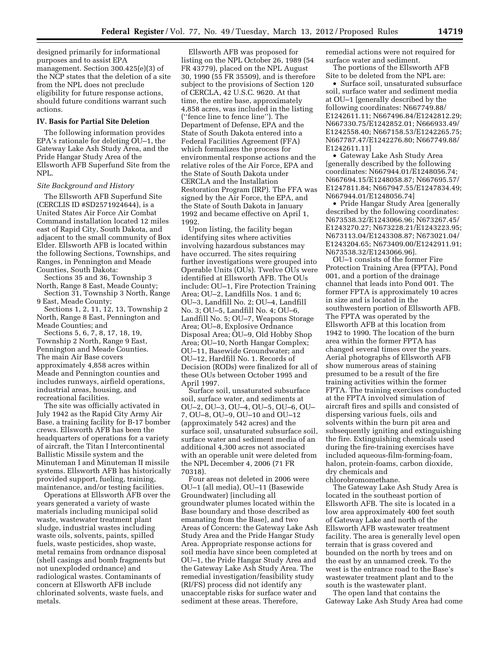designed primarily for informational purposes and to assist EPA management. Section 300.425(e)(3) of the NCP states that the deletion of a site from the NPL does not preclude eligibility for future response actions, should future conditions warrant such actions.

## **IV. Basis for Partial Site Deletion**

The following information provides EPA's rationale for deleting OU–1, the Gateway Lake Ash Study Area, and the Pride Hangar Study Area of the Ellsworth AFB Superfund Site from the NPL.

#### *Site Background and History*

The Ellsworth AFB Superfund Site (CERCLIS ID #SD2571924644), is a United States Air Force Air Combat Command installation located 12 miles east of Rapid City, South Dakota, and adjacent to the small community of Box Elder. Ellsworth AFB is located within the following Sections, Townships, and Ranges, in Pennington and Meade Counties, South Dakota:

Sections 35 and 36, Township 3 North, Range 8 East, Meade County;

Section 31, Township 3 North, Range 9 East, Meade County;

Sections 1, 2, 11, 12, 13, Township 2 North, Range 8 East, Pennington and Meade Counties; and

Sections 5, 6, 7, 8, 17, 18, 19, Township 2 North, Range 9 East, Pennington and Meade Counties. The main Air Base covers approximately 4,858 acres within Meade and Pennington counties and includes runways, airfield operations, industrial areas, housing, and recreational facilities.

The site was officially activated in July 1942 as the Rapid City Army Air Base, a training facility for B-17 bomber crews. Ellsworth AFB has been the headquarters of operations for a variety of aircraft, the Titan I Intercontinental Ballistic Missile system and the Minuteman I and Minuteman II missile systems. Ellsworth AFB has historically provided support, fueling, training, maintenance, and/or testing facilities.

Operations at Ellsworth AFB over the years generated a variety of waste materials including municipal solid waste, wastewater treatment plant sludge, industrial wastes including waste oils, solvents, paints, spilled fuels, waste pesticides, shop waste, metal remains from ordnance disposal (shell casings and bomb fragments but not unexploded ordnance) and radiological wastes. Contaminants of concern at Ellsworth AFB include chlorinated solvents, waste fuels, and metals.

Ellsworth AFB was proposed for listing on the NPL October 26, 1989 (54 FR 43779), placed on the NPL August 30, 1990 (55 FR 35509), and is therefore subject to the provisions of Section 120 of CERCLA, 42 U.S.C. 9620. At that time, the entire base, approximately 4,858 acres, was included in the listing (''fence line to fence line''). The Department of Defense, EPA and the State of South Dakota entered into a Federal Facilities Agreement (FFA) which formalizes the process for environmental response actions and the relative roles of the Air Force, EPA and the State of South Dakota under CERCLA and the Installation Restoration Program (IRP). The FFA was signed by the Air Force, the EPA, and the State of South Dakota in January 1992 and became effective on April 1, 1992.

Upon listing, the facility began identifying sites where activities involving hazardous substances may have occurred. The sites requiring further investigations were grouped into Operable Units (OUs). Twelve OUs were identified at Ellsworth AFB. The OUs include: OU–1, Fire Protection Training Area; OU–2, Landfills Nos. 1 and 6; OU–3, Landfill No. 2; OU–4, Landfill No. 3; OU–5, Landfill No. 4; OU–6, Landfill No. 5; OU–7, Weapons Storage Area; OU–8, Explosive Ordnance Disposal Area; OU–9, Old Hobby Shop Area; OU–10, North Hangar Complex; OU–11, Basewide Groundwater; and OU–12, Hardfill No. 1. Records of Decision (RODs) were finalized for all of these OUs between October 1995 and April 1997.

Surface soil, unsaturated subsurface soil, surface water, and sediments at OU–2, OU–3, OU–4, OU–5, OU–6, OU– 7, OU–8, OU–9, OU–10 and OU–12 (approximately 542 acres) and the surface soil, unsaturated subsurface soil, surface water and sediment media of an additional 4,300 acres not associated with an operable unit were deleted from the NPL December 4, 2006 (71 FR 70318).

Four areas not deleted in 2006 were OU–1 (all media), OU–11 (Basewide Groundwater) [including all groundwater plumes located within the Base boundary and those described as emanating from the Base], and two Areas of Concern: the Gateway Lake Ash Study Area and the Pride Hangar Study Area. Appropriate response actions for soil media have since been completed at OU–1, the Pride Hangar Study Area and the Gateway Lake Ash Study Area. The remedial investigation/feasibility study (RI/FS) process did not identify any unacceptable risks for surface water and sediment at these areas. Therefore,

remedial actions were not required for surface water and sediment.

The portions of the Ellsworth AFB Site to be deleted from the NPL are:

• Surface soil, unsaturated subsurface soil, surface water and sediment media at OU–1 [generally described by the following coordinates: N667749.88/ E1242611.11; N667496.84/E1242812.29; N667330.75/E1242852.01; N666933.49/ E1242558.40; N667158.53/E1242265.75; N667787.47/E1242276.80; N667749.88/ E1242611.11]

• Gateway Lake Ash Study Area [generally described by the following coordinates: N667944.01/E1248056.74; N667694.15/E1248058.87; N667695.57/ E1247811.84; N667947.55/E1247834.49; N667944.01/E1248056.74]

• Pride Hangar Study Area [generally described by the following coordinates: N673538.32/E1243066.96; N673267.45/ E1243270.27; N673228.21/E1243223.95; N673113.04/E1243308.87; N673021.04/ E1243204.65; N673409.00/E1242911.91; N673538.32/E1243066.96].

OU–1 consists of the former Fire Protection Training Area (FPTA), Pond 001, and a portion of the drainage channel that leads into Pond 001. The former FPTA is approximately 10 acres in size and is located in the southwestern portion of Ellsworth AFB. The FPTA was operated by the Ellsworth AFB at this location from 1942 to 1990. The location of the burn area within the former FPTA has changed several times over the years. Aerial photographs of Ellsworth AFB show numerous areas of staining presumed to be a result of the fire training activities within the former FPTA. The training exercises conducted at the FPTA involved simulation of aircraft fires and spills and consisted of dispersing various fuels, oils and solvents within the burn pit area and subsequently igniting and extinguishing the fire. Extinguishing chemicals used during the fire-training exercises have included aqueous-film-forming-foam, halon, protein-foams, carbon dioxide, dry chemicals and chlorobromomethane.

The Gateway Lake Ash Study Area is located in the southeast portion of Ellsworth AFB. The site is located in a low area approximately 400 feet south of Gateway Lake and north of the Ellsworth AFB wastewater treatment facility. The area is generally level open terrain that is grass covered and bounded on the north by trees and on the east by an unnamed creek. To the west is the entrance road to the Base's wastewater treatment plant and to the south is the wastewater plant.

The open land that contains the Gateway Lake Ash Study Area had come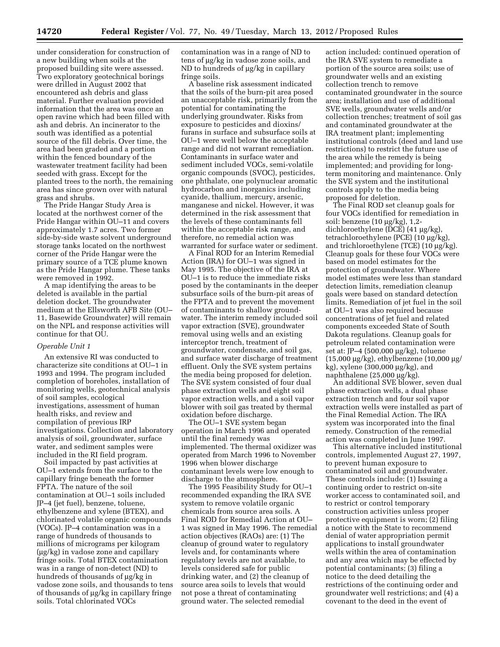under consideration for construction of a new building when soils at the proposed building site were assessed. Two exploratory geotechnical borings were drilled in August 2002 that encountered ash debris and glass material. Further evaluation provided information that the area was once an open ravine which had been filled with ash and debris. An incinerator to the south was identified as a potential source of the fill debris. Over time, the area had been graded and a portion within the fenced boundary of the wastewater treatment facility had been seeded with grass. Except for the planted trees to the north, the remaining area has since grown over with natural grass and shrubs.

The Pride Hangar Study Area is located at the northwest corner of the Pride Hangar within OU–11 and covers approximately 1.7 acres. Two former side-by-side waste solvent underground storage tanks located on the northwest corner of the Pride Hangar were the primary source of a TCE plume known as the Pride Hangar plume. These tanks were removed in 1992.

A map identifying the areas to be deleted is available in the partial deletion docket. The groundwater medium at the Ellsworth AFB Site (OU– 11, Basewide Groundwater) will remain on the NPL and response activities will continue for that OU.

#### *Operable Unit 1*

An extensive RI was conducted to characterize site conditions at OU–1 in 1993 and 1994. The program included completion of boreholes, installation of monitoring wells, geotechnical analysis of soil samples, ecological investigations, assessment of human health risks, and review and compilation of previous IRP investigations. Collection and laboratory analysis of soil, groundwater, surface water, and sediment samples were included in the RI field program.

Soil impacted by past activities at OU–1 extends from the surface to the capillary fringe beneath the former FPTA. The nature of the soil contamination at OU–1 soils included JP–4 (jet fuel), benzene, toluene, ethylbenzene and xylene (BTEX), and chlorinated volatile organic compounds (VOCs). JP–4 contamination was in a range of hundreds of thousands to millions of micrograms per kilogram  $(\mu g/kg)$  in vadose zone and capillary fringe soils. Total BTEX contamination was in a range of non-detect (ND) to hundreds of thousands of  $\mu$ g/kg in vadose zone soils, and thousands to tens of thousands of  $\mu$ g/kg in capillary fringe soils. Total chlorinated VOCs

contamination was in a range of ND to tens of µg/kg in vadose zone soils, and ND to hundreds of  $\mu$ g/kg in capillary fringe soils.

A baseline risk assessment indicated that the soils of the burn-pit area posed an unacceptable risk, primarily from the potential for contaminating the underlying groundwater. Risks from exposure to pesticides and dioxins/ furans in surface and subsurface soils at OU–1 were well below the acceptable range and did not warrant remediation. Contaminants in surface water and sediment included VOCs, semi-volatile organic compounds (SVOC), pesticides, one phthalate, one polynuclear aromatic hydrocarbon and inorganics including cyanide, thallium, mercury, arsenic, manganese and nickel. However, it was determined in the risk assessment that the levels of these contaminants fell within the acceptable risk range, and therefore, no remedial action was warranted for surface water or sediment.

A Final ROD for an Interim Remedial Action (IRA) for OU–1 was signed in May 1995. The objective of the IRA at OU–1 is to reduce the immediate risks posed by the contaminants in the deeper subsurface soils of the burn-pit areas of the FPTA and to prevent the movement of contaminants to shallow groundwater. The interim remedy included soil vapor extraction (SVE), groundwater removal using wells and an existing interceptor trench, treatment of groundwater, condensate, and soil gas, and surface water discharge of treatment effluent. Only the SVE system pertains the media being proposed for deletion. The SVE system consisted of four dual phase extraction wells and eight soil vapor extraction wells, and a soil vapor blower with soil gas treated by thermal oxidation before discharge.

The OU–1 SVE system began operation in March 1996 and operated until the final remedy was implemented. The thermal oxidizer was operated from March 1996 to November 1996 when blower discharge contaminant levels were low enough to discharge to the atmosphere.

The 1995 Feasibility Study for OU–1 recommended expanding the IRA SVE system to remove volatile organic chemicals from source area soils. A Final ROD for Remedial Action at OU– 1 was signed in May 1996. The remedial action objectives (RAOs) are: (1) The cleanup of ground water to regulatory levels and, for contaminants where regulatory levels are not available, to levels considered safe for public drinking water, and (2) the cleanup of source area soils to levels that would not pose a threat of contaminating ground water. The selected remedial

action included: continued operation of the IRA SVE system to remediate a portion of the source area soils; use of groundwater wells and an existing collection trench to remove contaminated groundwater in the source area; installation and use of additional SVE wells, groundwater wells and/or collection trenches; treatment of soil gas and contaminated groundwater at the IRA treatment plant; implementing institutional controls (deed and land use restrictions) to restrict the future use of the area while the remedy is being implemented; and providing for longterm monitoring and maintenance. Only the SVE system and the institutional controls apply to the media being proposed for deletion.

The Final ROD set cleanup goals for four VOCs identified for remediation in soil: benzene  $(10 \mu g/kg)$ , 1,2dichloroethylene (DCE) (41 µg/kg), tetrachloroethylene (PCE) (10 μg/kg), and trichloroethylene (TCE)  $(10 \mu g/kg)$ . Cleanup goals for these four VOCs were based on model estimates for the protection of groundwater. Where model estimates were less than standard detection limits, remediation cleanup goals were based on standard detection limits. Remediation of jet fuel in the soil at OU–1 was also required because concentrations of jet fuel and related components exceeded State of South Dakota regulations. Cleanup goals for petroleum related contamination were set at: JP–4 (500,000 μg/kg), toluene  $(15,000 \mu g/kg)$ , ethylbenzene  $(10,000 \mu g$  $kg$ ), xylene (300,000  $\mu$ g/kg), and naphthalene  $(25,000 \mu g/kg)$ .

An additional SVE blower, seven dual phase extraction wells, a dual phase extraction trench and four soil vapor extraction wells were installed as part of the Final Remedial Action. The IRA system was incorporated into the final remedy. Construction of the remedial action was completed in June 1997.

This alternative included institutional controls, implemented August 27, 1997, to prevent human exposure to contaminated soil and groundwater. These controls include: (1) Issuing a continuing order to restrict on-site worker access to contaminated soil, and to restrict or control temporary construction activities unless proper protective equipment is worn; (2) filing a notice with the State to recommend denial of water appropriation permit applications to install groundwater wells within the area of contamination and any area which may be effected by potential contaminants; (3) filing a notice to the deed detailing the restrictions of the continuing order and groundwater well restrictions; and (4) a covenant to the deed in the event of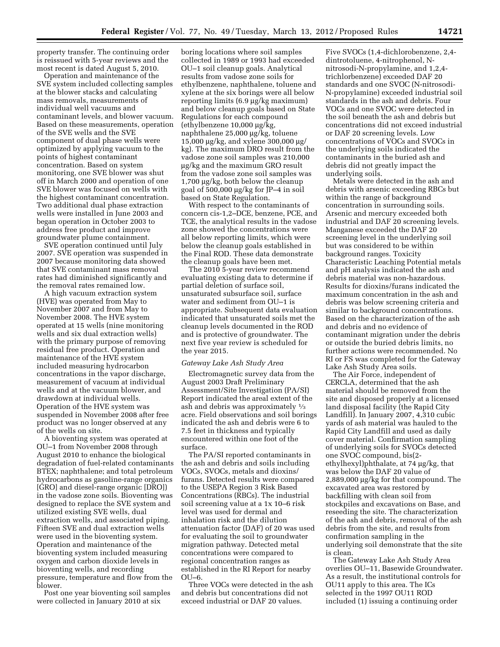property transfer. The continuing order is reissued with 5-year reviews and the most recent is dated August 5, 2010.

Operation and maintenance of the SVE system included collecting samples at the blower stacks and calculating mass removals, measurements of individual well vacuums and contaminant levels, and blower vacuum. Based on these measurements, operation of the SVE wells and the SVE component of dual phase wells were optimized by applying vacuum to the points of highest contaminant concentration. Based on system monitoring, one SVE blower was shut off in March 2000 and operation of one SVE blower was focused on wells with the highest contaminant concentration. Two additional dual phase extraction wells were installed in June 2003 and began operation in October 2003 to address free product and improve groundwater plume containment.

SVE operation continued until July 2007. SVE operation was suspended in 2007 because monitoring data showed that SVE contaminant mass removal rates had diminished significantly and the removal rates remained low.

A high vacuum extraction system (HVE) was operated from May to November 2007 and from May to November 2008. The HVE system operated at 15 wells (nine monitoring wells and six dual extraction wells) with the primary purpose of removing residual free product. Operation and maintenance of the HVE system included measuring hydrocarbon concentrations in the vapor discharge, measurement of vacuum at individual wells and at the vacuum blower, and drawdown at individual wells. Operation of the HVE system was suspended in November 2008 after free product was no longer observed at any of the wells on site.

A bioventing system was operated at OU–1 from November 2008 through August 2010 to enhance the biological degradation of fuel-related contaminants BTEX; naphthalene; and total petroleum hydrocarbons as gasoline-range organics [GRO] and diesel-range organic [DRO]) in the vadose zone soils. Bioventing was designed to replace the SVE system and utilized existing SVE wells, dual extraction wells, and associated piping. Fifteen SVE and dual extraction wells were used in the bioventing system. Operation and maintenance of the bioventing system included measuring oxygen and carbon dioxide levels in bioventing wells, and recording pressure, temperature and flow from the blower.

Post one year bioventing soil samples were collected in January 2010 at six

boring locations where soil samples collected in 1989 or 1993 had exceeded OU–1 soil cleanup goals. Analytical results from vadose zone soils for ethylbenzene, naphthalene, toluene and xylene at the six borings were all below reporting limits  $(6.9 \mu g/kg$  maximum) and below cleanup goals based on State Regulations for each compound  $(\text{ethy}lbenzene 10,000 \mu g/kg)$ naphthalene 25,000 µg/kg, toluene 15,000  $\mu$ g/kg, and xylene 300,000  $\mu$ g/ kg). The maximum DRO result from the vadose zone soil samples was 210,000 mg/kg and the maximum GRO result from the vadose zone soil samples was  $1,700 \mu g/kg$ , both below the cleanup goal of  $500,000 \mu g/kg$  for JP–4 in soil based on State Regulation.

With respect to the contaminants of concern cis-1,2–DCE, benzene, PCE, and TCE, the analytical results in the vadose zone showed the concentrations were all below reporting limits, which were below the cleanup goals established in the Final ROD. These data demonstrate the cleanup goals have been met.

The 2010 5-year review recommend evaluating existing data to determine if partial deletion of surface soil, unsaturated subsurface soil, surface water and sediment from OU–1 is appropriate. Subsequent data evaluation indicated that unsaturated soils met the cleanup levels documented in the ROD and is protective of groundwater. The next five year review is scheduled for the year 2015.

#### *Gateway Lake Ash Study Area*

Electromagnetic survey data from the August 2003 Draft Preliminary Assessment/Site Investigation (PA/SI) Report indicated the areal extent of the ash and debris was approximately 1⁄3 acre. Field observations and soil borings indicated the ash and debris were 6 to 7.5 feet in thickness and typically encountered within one foot of the surface.

The PA/SI reported contaminants in the ash and debris and soils including VOCs, SVOCs, metals and dioxins/ furans. Detected results were compared to the USEPA Region 3 Risk Based Concentrations (RBCs). The industrial soil screening value at a 1x 10–6 risk level was used for dermal and inhalation risk and the dilution attenuation factor (DAF) of 20 was used for evaluating the soil to groundwater migration pathway. Detected metal concentrations were compared to regional concentration ranges as established in the RI Report for nearby  $OU-6$ .

Three VOCs were detected in the ash and debris but concentrations did not exceed industrial or DAF 20 values.

Five SVOCs (1,4-dichlorobenzene, 2,4 dintrotoluene, 4-nitrophenol, Nnitrosodi-N-propylamine, and 1,2,4 trichlorbenzene) exceeded DAF 20 standards and one SVOC (N-nitrosodi-N-propylamine) exceeded industrial soil standards in the ash and debris. Four VOCs and one SVOC were detected in the soil beneath the ash and debris but concentrations did not exceed industrial or DAF 20 screening levels. Low concentrations of VOCs and SVOCs in the underlying soils indicated the contaminants in the buried ash and debris did not greatly impact the underlying soils.

Metals were detected in the ash and debris with arsenic exceeding RBCs but within the range of background concentration in surrounding soils. Arsenic and mercury exceeded both industrial and DAF 20 screening levels. Manganese exceeded the DAF 20 screening level in the underlying soil but was considered to be within background ranges. Toxicity Characteristic Leaching Potential metals and pH analysis indicated the ash and debris material was non-hazardous. Results for dioxins/furans indicated the maximum concentration in the ash and debris was below screening criteria and similar to background concentrations. Based on the characterization of the ash and debris and no evidence of contaminant migration under the debris or outside the buried debris limits, no further actions were recommended. No RI or FS was completed for the Gateway Lake Ash Study Area soils.

The Air Force, independent of CERCLA, determined that the ash material should be removed from the site and disposed properly at a licensed land disposal facility (the Rapid City Landfill). In January 2007, 4,310 cubic yards of ash material was hauled to the Rapid City Landfill and used as daily cover material. Confirmation sampling of underlying soils for SVOCs detected one SVOC compound, bis(2 ethylhexyl)phthalate, at 74 mg/kg, that was below the DAF 20 value of  $2,889,000 \mu g/kg$  for that compound. The excavated area was restored by backfilling with clean soil from stockpiles and excavations on Base, and reseeding the site. The characterization of the ash and debris, removal of the ash debris from the site, and results from confirmation sampling in the underlying soil demonstrate that the site is clean.

The Gateway Lake Ash Study Area overlies OU–11, Basewide Groundwater. As a result, the institutional controls for OU11 apply to this area. The ICs selected in the 1997 OU11 ROD included (1) issuing a continuing order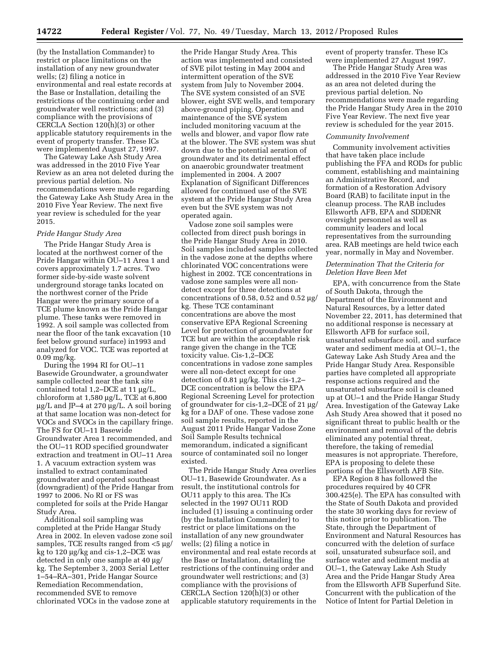(by the Installation Commander) to restrict or place limitations on the installation of any new groundwater wells; (2) filing a notice in environmental and real estate records at the Base or Installation, detailing the restrictions of the continuing order and groundwater well restrictions; and (3) compliance with the provisions of CERCLA Section 120(h)(3) or other applicable statutory requirements in the event of property transfer. These ICs were implemented August 27, 1997.

The Gateway Lake Ash Study Area was addressed in the 2010 Five Year Review as an area not deleted during the previous partial deletion. No recommendations were made regarding the Gateway Lake Ash Study Area in the 2010 Five Year Review. The next five year review is scheduled for the year 2015.

## *Pride Hangar Study Area*

The Pride Hangar Study Area is located at the northwest corner of the Pride Hangar within OU–11 Area 1 and covers approximately 1.7 acres. Two former side-by-side waste solvent underground storage tanks located on the northwest corner of the Pride Hangar were the primary source of a TCE plume known as the Pride Hangar plume. These tanks were removed in 1992. A soil sample was collected from near the floor of the tank excavation (10 feet below ground surface) in1993 and analyzed for VOC. TCE was reported at 0.09 mg/kg.

During the 1994 RI for OU–11 Basewide Groundwater, a groundwater sample collected near the tank site contained total  $1,2$ –DCE at  $11 \mu g/L$ , chloroform at  $1,580 \mu g/L$ , TCE at  $6,800$  $\mu$ g/L and JP–4 at 270  $\mu$ g/L. A soil boring at that same location was non-detect for VOCs and SVOCs in the capillary fringe. The FS for OU–11 Basewide Groundwater Area 1 recommended, and the OU–11 ROD specified groundwater extraction and treatment in OU–11 Area 1. A vacuum extraction system was installed to extract contaminated groundwater and operated southeast (downgradient) of the Pride Hangar from 1997 to 2006. No RI or FS was completed for soils at the Pride Hangar Study Area.

Additional soil sampling was completed at the Pride Hangar Study Area in 2002. In eleven vadose zone soil samples, TCE results ranged from  $<$ 5  $\mu$ g/ kg to  $120 \mu$ g/kg and cis-1,2–DCE was detected in only one sample at  $40 \mu$ g/ kg. The September 3, 2003 Serial Letter 1–54–RA–301, Pride Hangar Source Remediation Recommendation, recommended SVE to remove chlorinated VOCs in the vadose zone at

the Pride Hangar Study Area. This action was implemented and consisted of SVE pilot testing in May 2004 and intermittent operation of the SVE system from July to November 2004. The SVE system consisted of an SVE blower, eight SVE wells, and temporary above-ground piping. Operation and maintenance of the SVE system included monitoring vacuum at the wells and blower, and vapor flow rate at the blower. The SVE system was shut down due to the potential aeration of groundwater and its detrimental effect on anaerobic groundwater treatment implemented in 2004. A 2007 Explanation of Significant Differences allowed for continued use of the SVE system at the Pride Hangar Study Area even but the SVE system was not operated again.

Vadose zone soil samples were collected from direct push borings in the Pride Hangar Study Area in 2010. Soil samples included samples collected in the vadose zone at the depths where chlorinated VOC concentrations were highest in 2002. TCE concentrations in vadose zone samples were all nondetect except for three detections at concentrations of 0.58, 0.52 and  $0.52 \mu g$ / kg. These TCE contaminant concentrations are above the most conservative EPA Regional Screening Level for protection of groundwater for TCE but are within the acceptable risk range given the change in the TCE toxicity value. Cis-1,2–DCE concentrations in vadose zone samples were all non-detect except for one detection of 0.81 µg/kg. This cis-1,2-DCE concentration is below the EPA Regional Screening Level for protection of groundwater for cis-1,2–DCE of 21  $\mu$ g/ kg for a DAF of one. These vadose zone soil sample results, reported in the August 2011 Pride Hangar Vadose Zone Soil Sample Results technical memorandum, indicated a significant source of contaminated soil no longer existed.

The Pride Hangar Study Area overlies OU–11, Basewide Groundwater. As a result, the institutional controls for OU11 apply to this area. The ICs selected in the 1997 OU11 ROD included (1) issuing a continuing order (by the Installation Commander) to restrict or place limitations on the installation of any new groundwater wells; (2) filing a notice in environmental and real estate records at the Base or Installation, detailing the restrictions of the continuing order and groundwater well restrictions; and (3) compliance with the provisions of CERCLA Section 120(h)(3) or other applicable statutory requirements in the

event of property transfer. These ICs were implemented 27 August 1997.

The Pride Hangar Study Area was addressed in the 2010 Five Year Review as an area not deleted during the previous partial deletion. No recommendations were made regarding the Pride Hangar Study Area in the 2010 Five Year Review. The next five year review is scheduled for the year 2015.

#### *Community Involvement*

Community involvement activities that have taken place include publishing the FFA and RODs for public comment, establishing and maintaining an Administrative Record, and formation of a Restoration Advisory Board (RAB) to facilitate input in the cleanup process. The RAB includes Ellsworth AFB, EPA and SDDENR oversight personnel as well as community leaders and local representatives from the surrounding area. RAB meetings are held twice each year, normally in May and November.

## *Determination That the Criteria for Deletion Have Been Met*

EPA, with concurrence from the State of South Dakota, through the Department of the Environment and Natural Resources, by a letter dated November 22, 2011, has determined that no additional response is necessary at Ellsworth AFB for surface soil, unsaturated subsurface soil, and surface water and sediment media at OU–1, the Gateway Lake Ash Study Area and the Pride Hangar Study Area. Responsible parties have completed all appropriate response actions required and the unsaturated subsurface soil is cleaned up at OU–1 and the Pride Hangar Study Area. Investigation of the Gateway Lake Ash Study Area showed that it posed no significant threat to public health or the environment and removal of the debris eliminated any potential threat, therefore, the taking of remedial measures is not appropriate. Therefore, EPA is proposing to delete these portions of the Ellsworth AFB Site.

EPA Region 8 has followed the procedures required by 40 CFR 300.425(e). The EPA has consulted with the State of South Dakota and provided the state 30 working days for review of this notice prior to publication. The State, through the Department of Environment and Natural Resources has concurred with the deletion of surface soil, unsaturated subsurface soil, and surface water and sediment media at OU–1, the Gateway Lake Ash Study Area and the Pride Hangar Study Area from the Ellsworth AFB Superfund Site. Concurrent with the publication of the Notice of Intent for Partial Deletion in